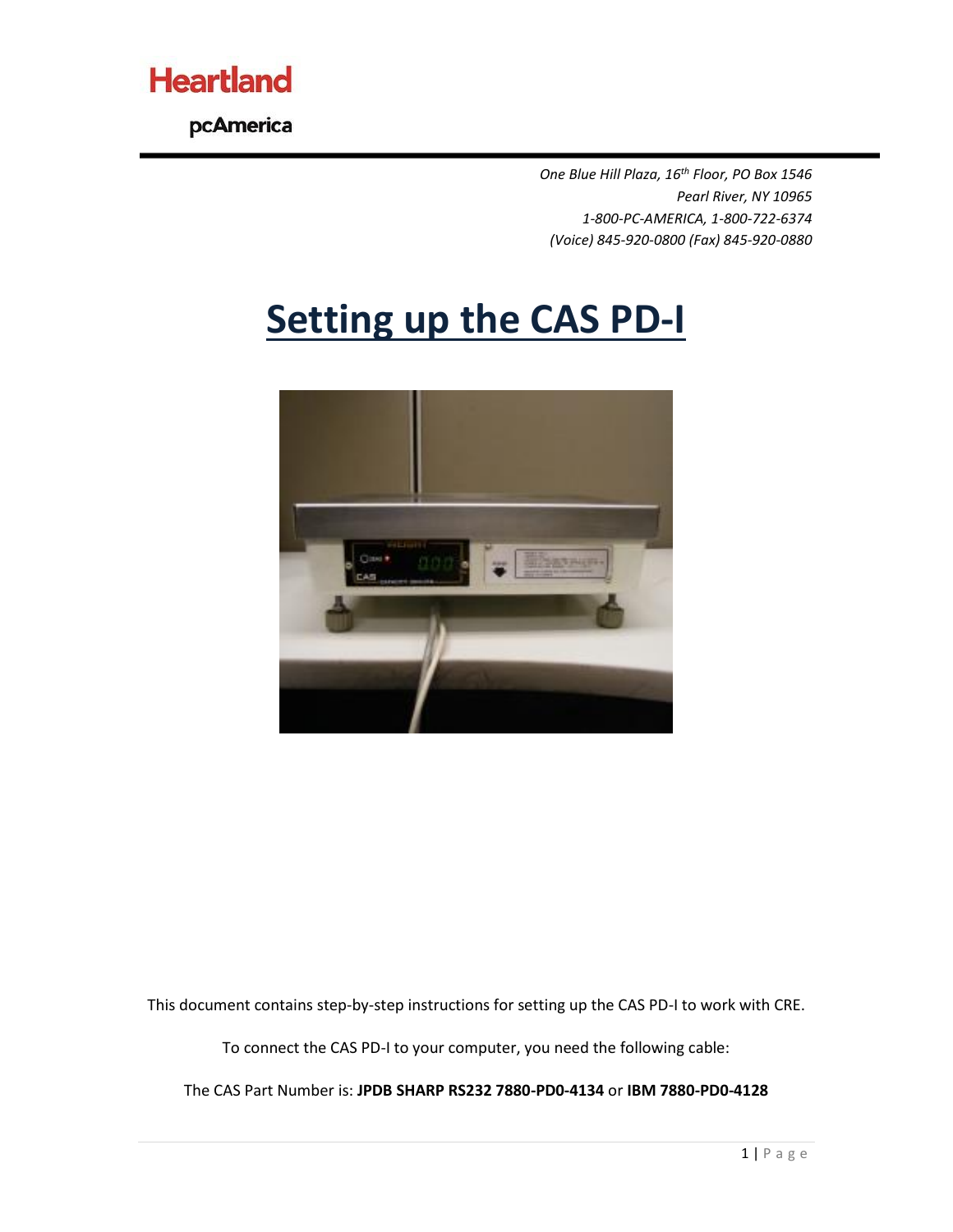

pcAmerica

*One Blue Hill Plaza, 16th Floor, PO Box 1546 Pearl River, NY 10965 1-800-PC-AMERICA, 1-800-722-6374 (Voice) 845-920-0800 (Fax) 845-920-0880*

## **Setting up the CAS PD-I**



This document contains step-by-step instructions for setting up the CAS PD-I to work with CRE.

To connect the CAS PD-I to your computer, you need the following cable:

The CAS Part Number is: **JPDB SHARP RS232 7880-PD0-4134** or **IBM 7880-PD0-4128**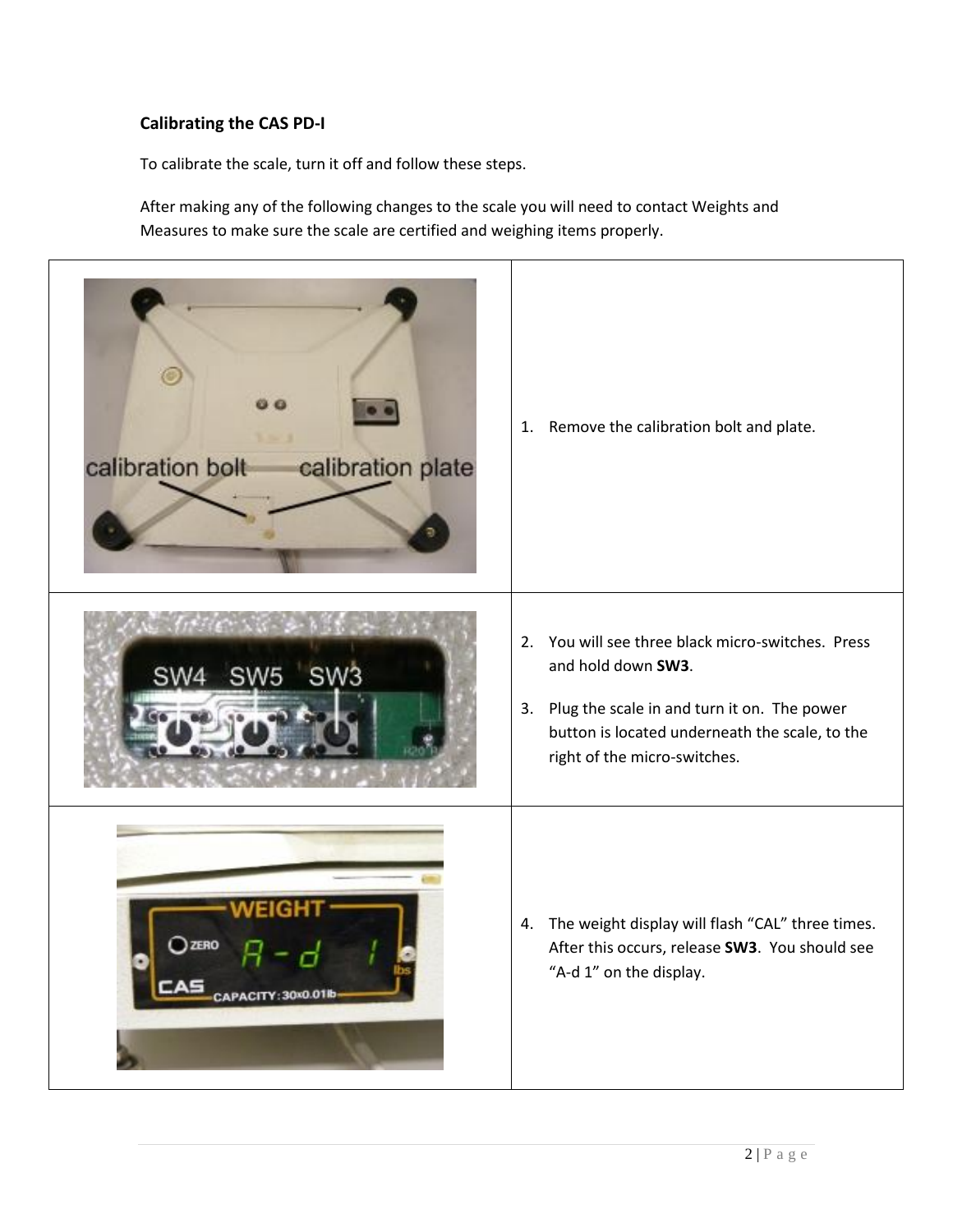## **Calibrating the CAS PD-I**

To calibrate the scale, turn it off and follow these steps.

After making any of the following changes to the scale you will need to contact Weights and Measures to make sure the scale are certified and weighing items properly.

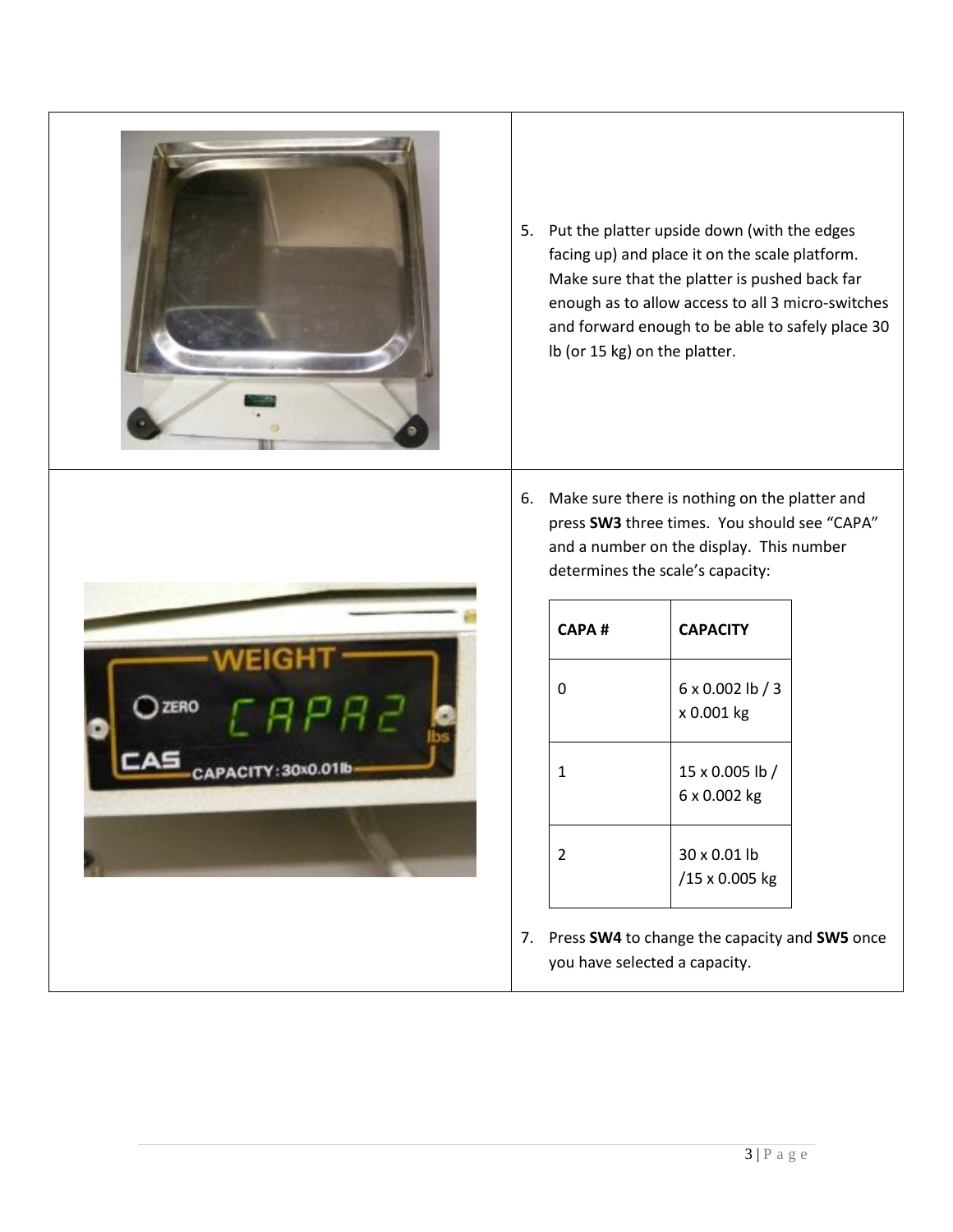

5. Put the platter upside down (with the edges facing up) and place it on the scale platform. Make sure that the platter is pushed back far enough as to allow access to all 3 micro-switches and forward enough to be able to safely place 30 lb (or 15 kg) on the platter.



6. Make sure there is nothing on the platter and press **SW3** three times. You should see "CAPA" and a number on the display. This number determines the scale's capacity:

| CAPA #         | <b>CAPACITY</b>                       |  |  |
|----------------|---------------------------------------|--|--|
| 0              | $6 \times 0.002$ lb / 3<br>x 0.001 kg |  |  |
| 1              | 15 x 0.005 lb /<br>6 x 0.002 kg       |  |  |
| $\overline{2}$ | 30 x 0.01 lb<br>/15 x 0.005 kg        |  |  |

7. Press **SW4** to change the capacity and **SW5** once you have selected a capacity.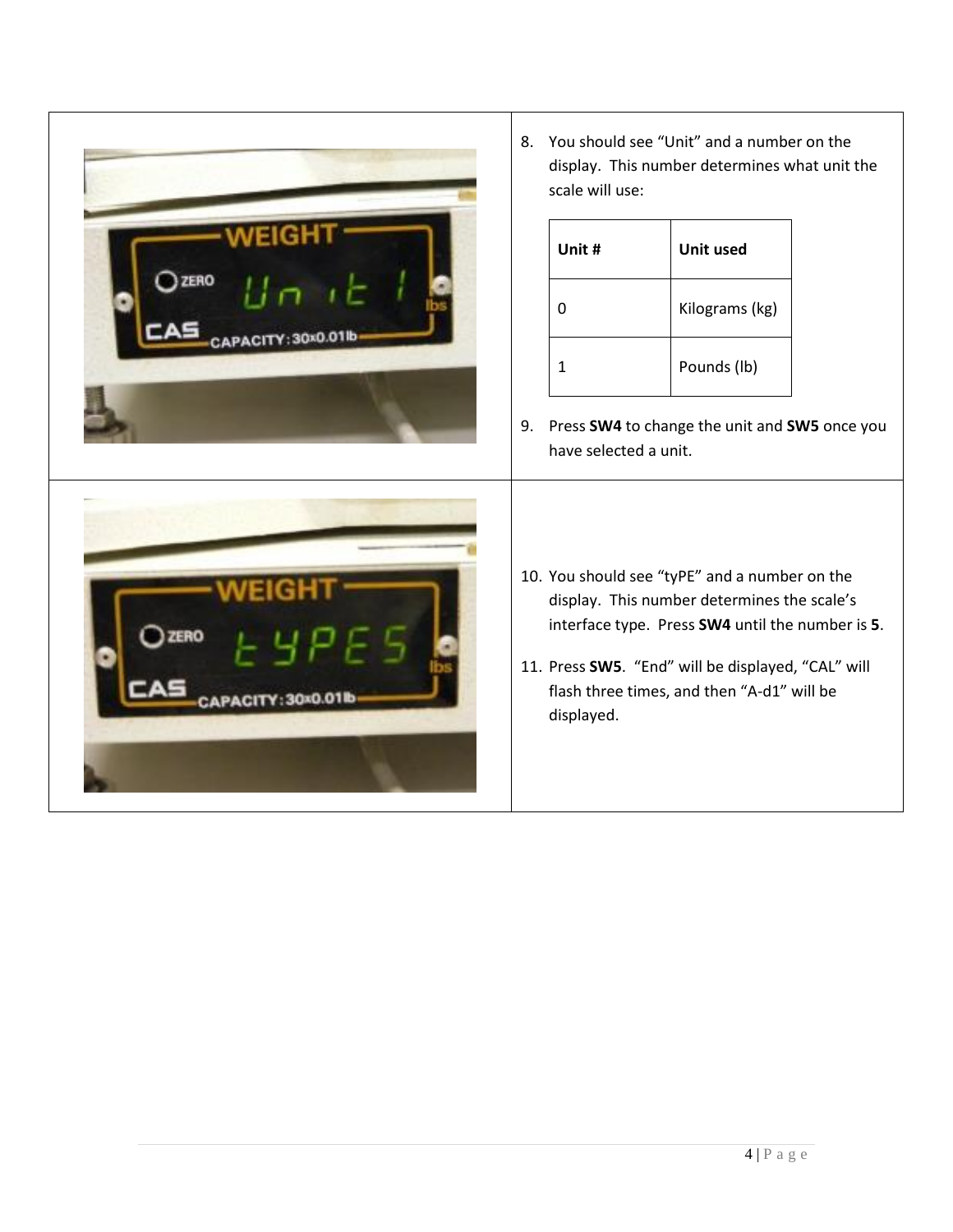|              | You should see "Unit" and a number on the<br>8.<br>display. This number determines what unit the<br>scale will use:                                                                                                                                                |              |                  |  |  |
|--------------|--------------------------------------------------------------------------------------------------------------------------------------------------------------------------------------------------------------------------------------------------------------------|--------------|------------------|--|--|
| <b>CAPAC</b> |                                                                                                                                                                                                                                                                    | Unit #       | <b>Unit used</b> |  |  |
|              |                                                                                                                                                                                                                                                                    | $\mathbf 0$  | Kilograms (kg)   |  |  |
|              |                                                                                                                                                                                                                                                                    | $\mathbf{1}$ | Pounds (lb)      |  |  |
|              | Press SW4 to change the unit and SW5 once you<br>9.<br>have selected a unit.                                                                                                                                                                                       |              |                  |  |  |
|              | 10. You should see "tyPE" and a number on the<br>display. This number determines the scale's<br>interface type. Press SW4 until the number is 5.<br>11. Press SW5. "End" will be displayed, "CAL" will<br>flash three times, and then "A-d1" will be<br>displayed. |              |                  |  |  |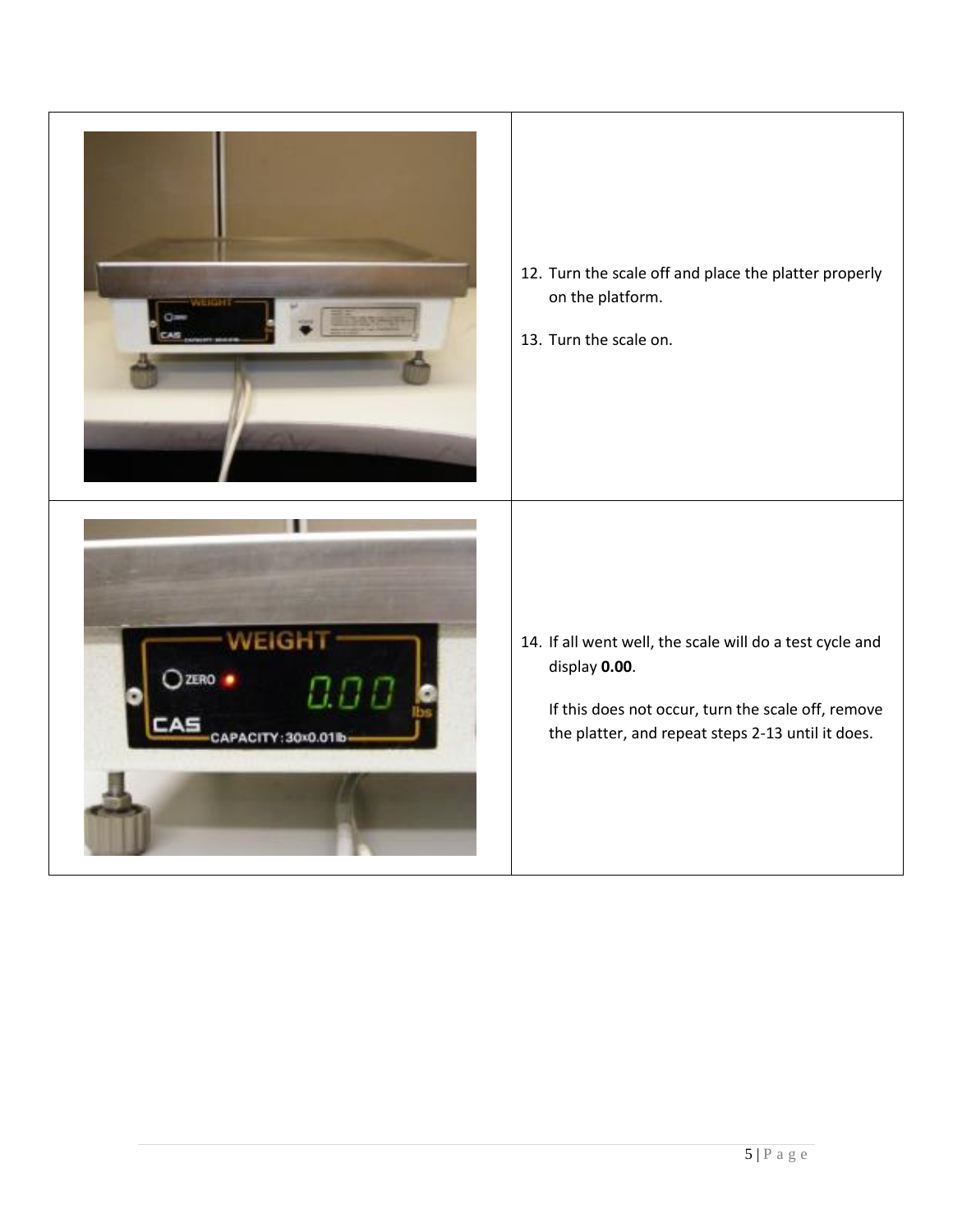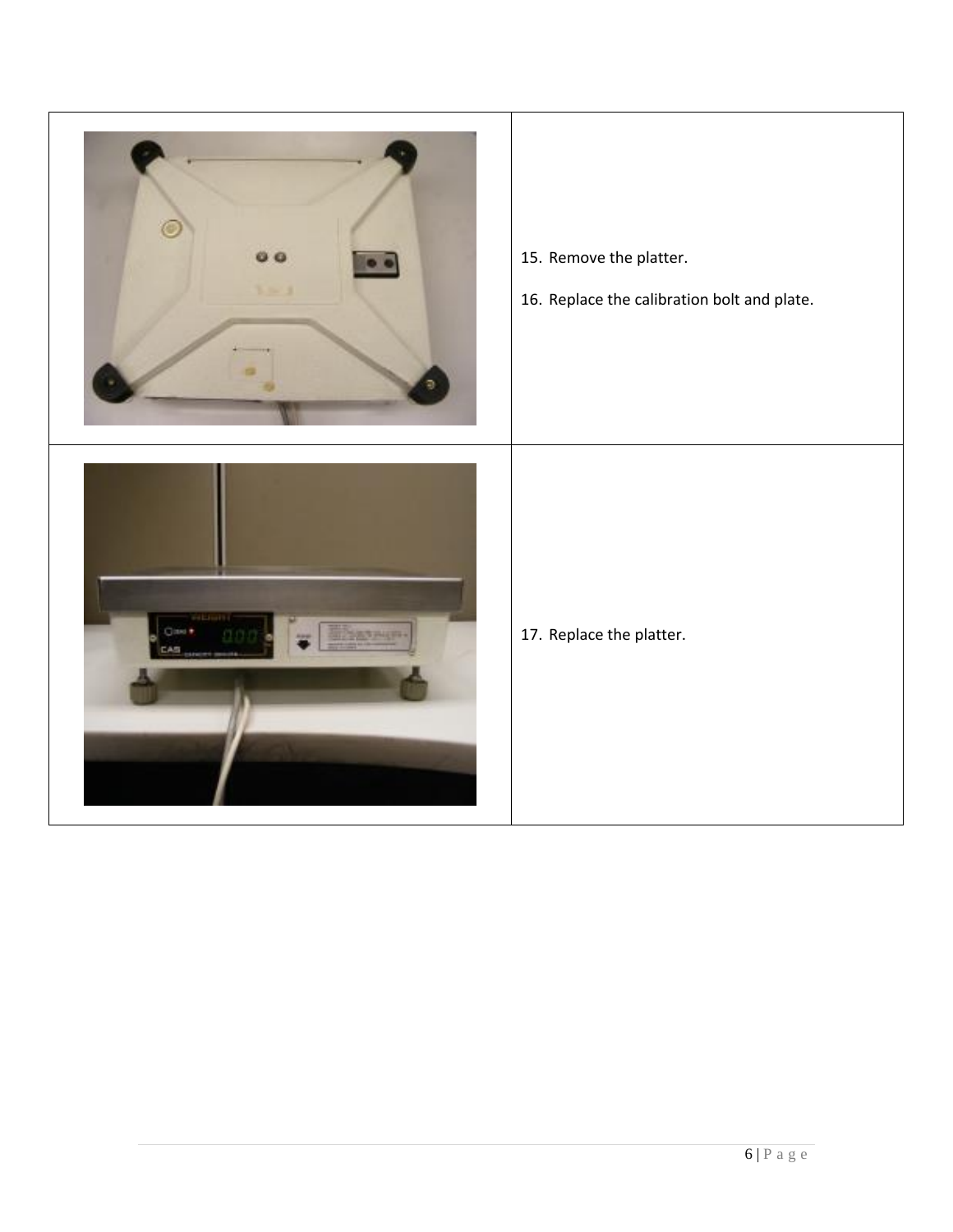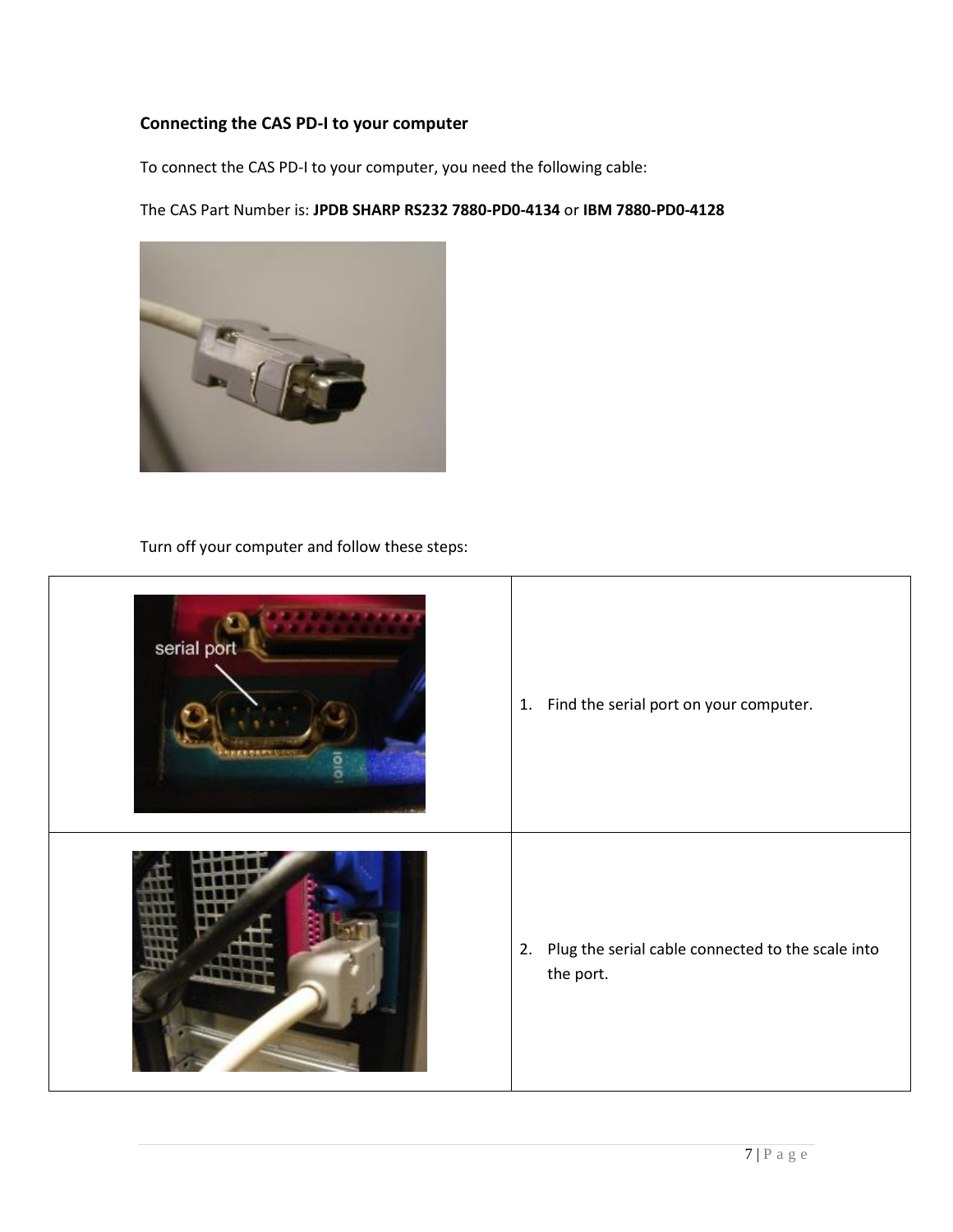## **Connecting the CAS PD-I to your computer**

To connect the CAS PD-I to your computer, you need the following cable:

The CAS Part Number is: **JPDB SHARP RS232 7880-PD0-4134** or **IBM 7880-PD0-4128**



Turn off your computer and follow these steps:

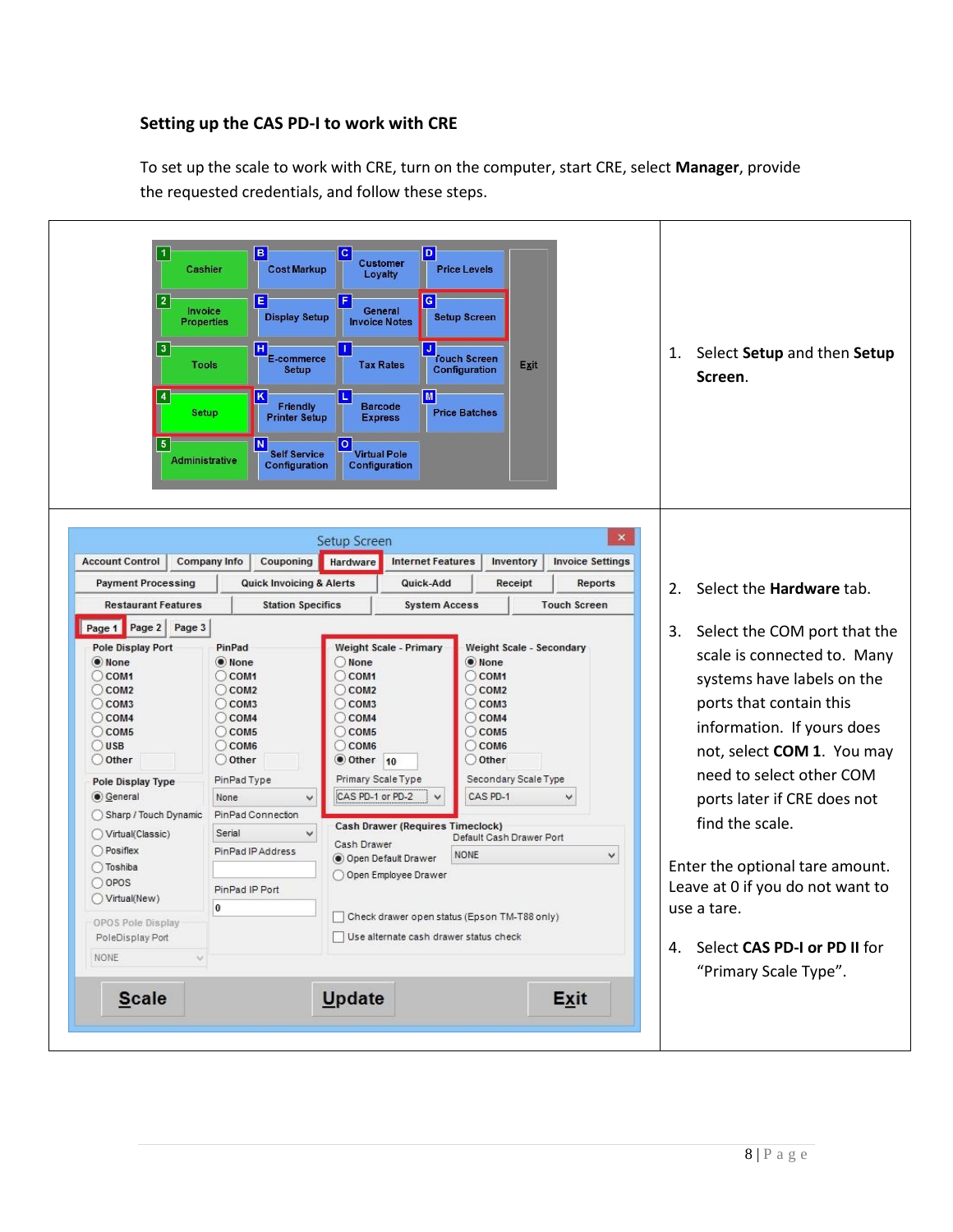## **Setting up the CAS PD-I to work with CRE**

To set up the scale to work with CRE, turn on the computer, start CRE, select **Manager**, provide the requested credentials, and follow these steps.